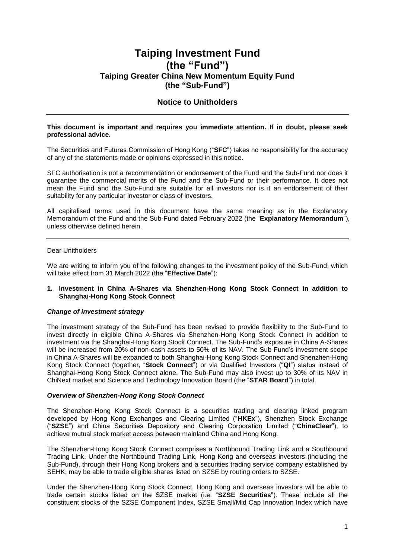# **Taiping Investment Fund (the "Fund") Taiping Greater China New Momentum Equity Fund (the "Sub-Fund")**

# **Notice to Unitholders**

#### **This document is important and requires you immediate attention. If in doubt, please seek professional advice.**

The Securities and Futures Commission of Hong Kong ("**SFC**") takes no responsibility for the accuracy of any of the statements made or opinions expressed in this notice.

SFC authorisation is not a recommendation or endorsement of the Fund and the Sub-Fund nor does it guarantee the commercial merits of the Fund and the Sub-Fund or their performance. It does not mean the Fund and the Sub-Fund are suitable for all investors nor is it an endorsement of their suitability for any particular investor or class of investors.

All capitalised terms used in this document have the same meaning as in the Explanatory Memorandum of the Fund and the Sub-Fund dated February 2022 (the "**Explanatory Memorandum**"), unless otherwise defined herein.

#### Dear Unitholders

We are writing to inform you of the following changes to the investment policy of the Sub-Fund, which will take effect from 31 March 2022 (the "**Effective Date**"):

#### **1. Investment in China A-Shares via Shenzhen-Hong Kong Stock Connect in addition to Shanghai-Hong Kong Stock Connect**

#### *Change of investment strategy*

The investment strategy of the Sub-Fund has been revised to provide flexibility to the Sub-Fund to invest directly in eligible China A-Shares via Shenzhen-Hong Kong Stock Connect in addition to investment via the Shanghai-Hong Kong Stock Connect. The Sub-Fund's exposure in China A-Shares will be increased from 20% of non-cash assets to 50% of its NAV. The Sub-Fund's investment scope in China A-Shares will be expanded to both Shanghai-Hong Kong Stock Connect and Shenzhen-Hong Kong Stock Connect (together, "**Stock Connect**") or via Qualified Investors ("**QI**") status instead of Shanghai-Hong Kong Stock Connect alone. The Sub-Fund may also invest up to 30% of its NAV in ChiNext market and Science and Technology Innovation Board (the "**STAR Board**") in total.

#### *Overview of Shenzhen-Hong Kong Stock Connect*

The Shenzhen-Hong Kong Stock Connect is a securities trading and clearing linked program developed by Hong Kong Exchanges and Clearing Limited ("**HKEx**"), Shenzhen Stock Exchange ("**SZSE**") and China Securities Depository and Clearing Corporation Limited ("**ChinaClear**"), to achieve mutual stock market access between mainland China and Hong Kong.

The Shenzhen-Hong Kong Stock Connect comprises a Northbound Trading Link and a Southbound Trading Link. Under the Northbound Trading Link, Hong Kong and overseas investors (including the Sub-Fund), through their Hong Kong brokers and a securities trading service company established by SEHK, may be able to trade eligible shares listed on SZSE by routing orders to SZSE.

Under the Shenzhen-Hong Kong Stock Connect, Hong Kong and overseas investors will be able to trade certain stocks listed on the SZSE market (i.e. "**SZSE Securities**"). These include all the constituent stocks of the SZSE Component Index, SZSE Small/Mid Cap Innovation Index which have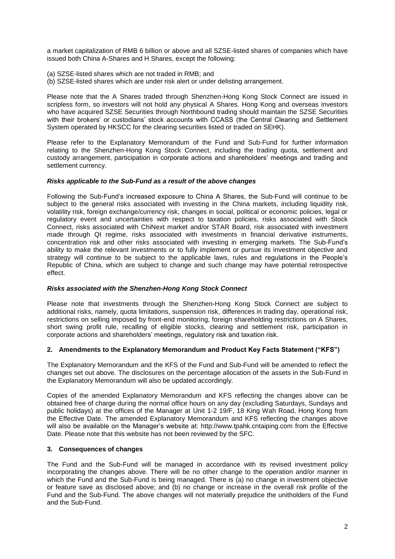a market capitalization of RMB 6 billion or above and all SZSE-listed shares of companies which have issued both China A-Shares and H Shares, except the following:

- (a) SZSE-listed shares which are not traded in RMB; and
- (b) SZSE-listed shares which are under risk alert or under delisting arrangement.

Please note that the A Shares traded through Shenzhen-Hong Kong Stock Connect are issued in scripless form, so investors will not hold any physical A Shares. Hong Kong and overseas investors who have acquired SZSE Securities through Northbound trading should maintain the SZSE Securities with their brokers' or custodians' stock accounts with CCASS (the Central Clearing and Settlement System operated by HKSCC for the clearing securities listed or traded on SEHK).

Please refer to the Explanatory Memorandum of the Fund and Sub-Fund for further information relating to the Shenzhen-Hong Kong Stock Connect, including the trading quota, settlement and custody arrangement, participation in corporate actions and shareholders' meetings and trading and settlement currency.

#### *Risks applicable to the Sub-Fund as a result of the above changes*

Following the Sub-Fund's increased exposure to China A Shares, the Sub-Fund will continue to be subject to the general risks associated with investing in the China markets, including liquidity risk, volatility risk, foreign exchange/currency risk, changes in social, political or economic policies, legal or regulatory event and uncertainties with respect to taxation policies, risks associated with Stock Connect, risks associated with ChiNext market and/or STAR Board, risk associated with investment made through QI regime, risks associated with investments in financial derivative instruments, concentration risk and other risks associated with investing in emerging markets. The Sub-Fund's ability to make the relevant investments or to fully implement or pursue its investment objective and strategy will continue to be subject to the applicable laws, rules and regulations in the People's Republic of China, which are subject to change and such change may have potential retrospective effect.

# *Risks associated with the Shenzhen-Hong Kong Stock Connect*

Please note that investments through the Shenzhen-Hong Kong Stock Connect are subject to additional risks, namely, quota limitations, suspension risk, differences in trading day, operational risk, restrictions on selling imposed by front-end monitoring, foreign shareholding restrictions on A Shares, short swing profit rule, recalling of eligible stocks, clearing and settlement risk, participation in corporate actions and shareholders' meetings, regulatory risk and taxation risk.

# **2. Amendments to the Explanatory Memorandum and Product Key Facts Statement ("KFS")**

The Explanatory Memorandum and the KFS of the Fund and Sub-Fund will be amended to reflect the changes set out above. The disclosures on the percentage allocation of the assets in the Sub-Fund in the Explanatory Memorandum will also be updated accordingly.

Copies of the amended Explanatory Memorandum and KFS reflecting the changes above can be obtained free of charge during the normal office hours on any day (excluding Saturdays, Sundays and public holidays) at the offices of the Manager at Unit 1-2 19/F, 18 King Wah Road, Hong Kong from the Effective Date. The amended Explanatory Memorandum and KFS reflecting the changes above will also be available on the Manager's website at: [http://www.tpahk.cntaiping.com](http://www.tpahk.cntaiping.com/) from the Effective Date. Please note that this website has not been reviewed by the SFC.

# **3. Consequences of changes**

The Fund and the Sub-Fund will be managed in accordance with its revised investment policy incorporating the changes above. There will be no other change to the operation and/or manner in which the Fund and the Sub-Fund is being managed. There is (a) no change in investment objective or feature save as disclosed above; and (b) no change or increase in the overall risk profile of the Fund and the Sub-Fund. The above changes will not materially prejudice the unitholders of the Fund and the Sub-Fund.